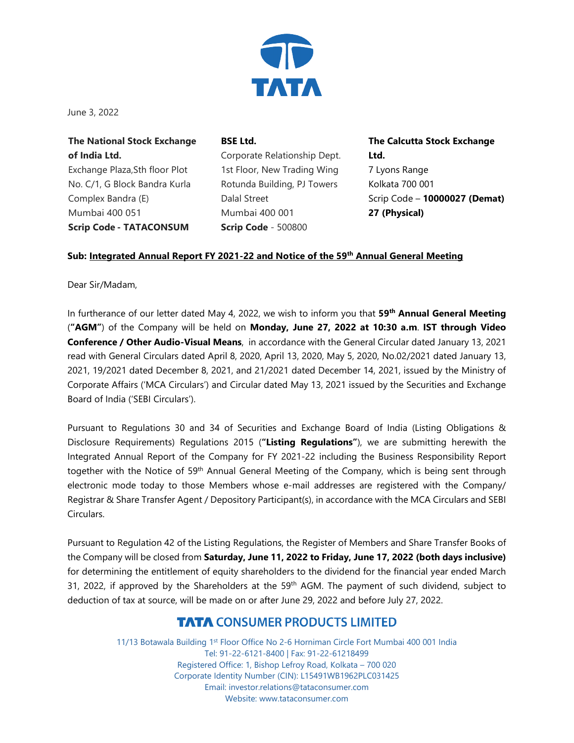

June 3, 2022

**The National Stock Exchange of India Ltd.** Exchange Plaza,Sth floor Plot No. C/1, G Block Bandra Kurla Complex Bandra (E) Mumbai 400 051 **Scrip Code - TATACONSUM**

**BSE Ltd.** Corporate Relationship Dept. 1st Floor, New Trading Wing Rotunda Building, PJ Towers Dalal Street Mumbai 400 001 **Scrip Code** - 500800

**The Calcutta Stock Exchange Ltd.** 7 Lyons Range Kolkata 700 001 Scrip Code – **10000027 (Demat) 27 (Physical)**

## **Sub: Integrated Annual Report FY 2021-22 and Notice of the 59th Annual General Meeting**

Dear Sir/Madam,

In furtherance of our letter dated May 4, 2022, we wish to inform you that **59th Annual General Meeting** (**"AGM"**) of the Company will be held on **Monday, June 27, 2022 at 10:30 a.m**. **IST through Video Conference / Other Audio-Visual Means**, in accordance with the General Circular dated January 13, 2021 read with General Circulars dated April 8, 2020, April 13, 2020, May 5, 2020, No.02/2021 dated January 13, 2021, 19/2021 dated December 8, 2021, and 21/2021 dated December 14, 2021, issued by the Ministry of Corporate Affairs ('MCA Circulars') and Circular dated May 13, 2021 issued by the Securities and Exchange Board of India ('SEBI Circulars').

Pursuant to Regulations 30 and 34 of Securities and Exchange Board of India (Listing Obligations & Disclosure Requirements) Regulations 2015 (**"Listing Regulations"**), we are submitting herewith the Integrated Annual Report of the Company for FY 2021-22 including the Business Responsibility Report together with the Notice of 59<sup>th</sup> Annual General Meeting of the Company, which is being sent through electronic mode today to those Members whose e-mail addresses are registered with the Company/ Registrar & Share Transfer Agent / Depository Participant(s), in accordance with the MCA Circulars and SEBI Circulars.

Pursuant to Regulation 42 of the Listing Regulations, the Register of Members and Share Transfer Books of the Company will be closed from **Saturday, June 11, 2022 to Friday, June 17, 2022 (both days inclusive)** for determining the entitlement of equity shareholders to the dividend for the financial year ended March 31, 2022, if approved by the Shareholders at the 59<sup>th</sup> AGM. The payment of such dividend, subject to deduction of tax at source, will be made on or after June 29, 2022 and before July 27, 2022.

## **TATA CONSUMER PRODUCTS LIMITED**

11/13 Botawala Building 1st Floor Office No 2-6 Horniman Circle Fort Mumbai 400 001 India Tel: 91-22-6121-8400 | Fax: 91-22-61218499 Registered Office: 1, Bishop Lefroy Road, Kolkata – 700 020 Corporate Identity Number (CIN): L15491WB1962PLC031425 Email: investor.relations@tataconsumer.com Website: www.tataconsumer.com